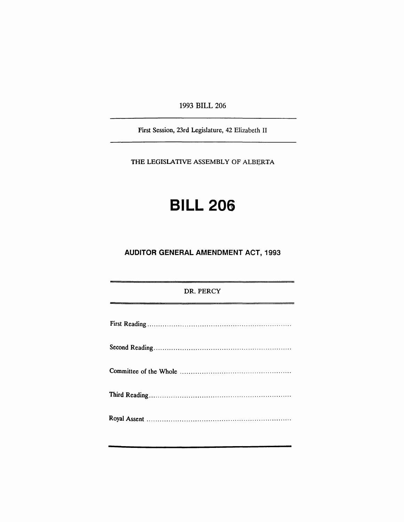1993 BILL 206

First Session, 23rd Legislature, 42 Elizabeth II

THE LEGISLATIVE ASSEMBLY OF ALBERTA

# BILL 206

# AUDITOR GENERAL AMENDMENT ACT, 1993

| DR. PERCY |
|-----------|
|           |
|           |
|           |
|           |
|           |
|           |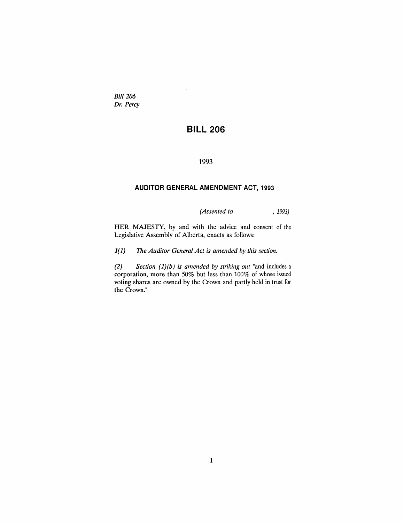*Bill 206 Dr. Percy*

# **BILL 206**

1993

# **AUDITOR GENERAL AMENDMENT ACT, 1993**

*(Assented to* , 1993)

HER MAJESTY, by and with the advice and consent of the Legislative Assembly of Alberta, enacts as follows:

*1(1) The Auditor General Act is amended by this section.*

*(2) Section (l)(b) is amended by striking out* "and includes a corporation, more than 50% but less than 100% of whose issued voting shares are owned by the Crown and partly held in trust for the Crown."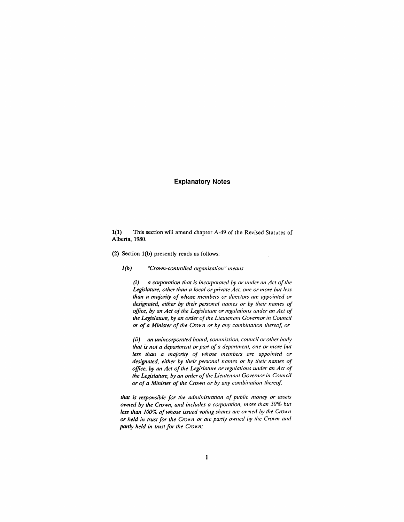## **Explanatory Notes**

1(1) This section will amend chapter A-49 of the Revised Statutes of Alberta, 1980.

(2) Section l(b) presently reads as follows:

1*(b) "Crown-controlled organization* /I *means*

*(i) a corporation that is incorporated by or <i>under an Act of the Legislature, otherthan a local orplivate Act, one or more but less than a majority of whose members or directors are appointed or designated, either by their personal names or by their names of office, by an Act of the Legislature or regulations under an Act of the Legislature, by an order ofthe Lieutenant Govemorin Council or of a Minister of the Crown or by any combination thereof, or*

*(ii) an unincorporated board, commission, councilor other body that is not a department or part of a department, one or more but less than a majOlity of whose members are appointed or designated, either by their personal names or by their names of office, by an Act of the Legislature or regulations under an Act of the Legislature, by an order ofthe Lieutenant Govemorin Council or of a Minister of the Crown or by any combination thereof,*

*that is responsible for the administration of public money or assets owned by the Crown, and includes a corporation, more than 50% but less than 100% of whose issued voting shares are oll'ned by the Crown or held in tlUSt for the Crown or are paltly owned by the Crown and partly held* in *trust* for the Crown;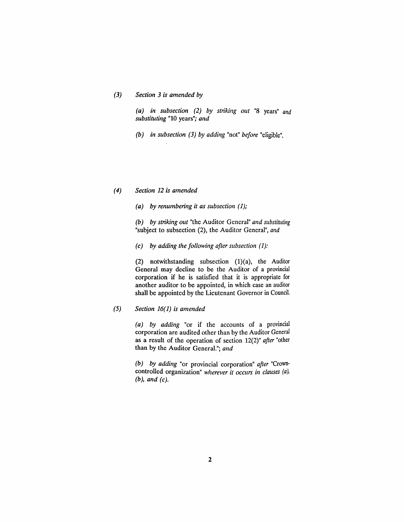#### *(3) Section* 3 *is amended by*

*(a) in subsection* (2) *by striking out* "8 years" *and substituting* "10 years"; *and*

*(b) in subsection* (3) *by adding* "not" *before* "eligible".

## (4) *Section* 12 *is amended*

*(a) by renumbering it as subsection* (1);

*(b) by striking out* "the Auditor General" *and substituting* "subject to subsection (2), the Auditor General", *and*

*(c) by adding the following after subsection* (1):

(2) notwithstanding subsection  $(1)(a)$ , the Auditor General may decline to be the Auditor of a provincial corporation if he is satisfied that it is appropriate for another auditor to be appointed, in which case an auditor shall be appointed by the Lieutenant Governor in Council.

# *(5) Section* 16(1) *is amended*

*(a) by adding* "or if the accounts of a provincial corporation are audited other than by the Auditor General as a result of the operation of section 12(2)" *after* "other than by the Auditor General."; *and*

*(b) by adding* "or provincial corporation" *after* "Crowncontrolled organization" *wherever it occurs in clauses* (a), *(b), and (c).*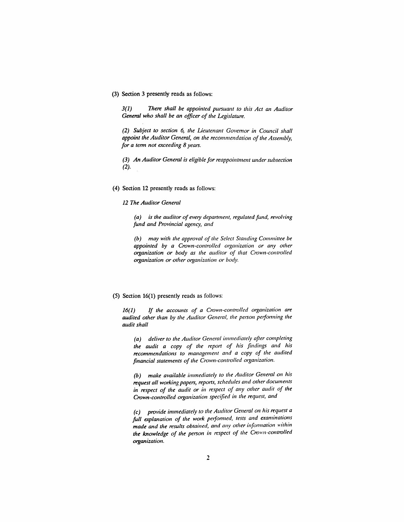#### (3) Section 3 presently reads as follows:

3(1) *There shall be appointed pursuant to this Act an Auditor General who shall be an officer of the Legislature.*

*(2) Subject to section* 6, *the Lieutenant Governor in Council shall appoint the Auditor General, on the recommendation of the Assembly, for a tenn not exceeding* 8 *years.*

*(3) An Auditor General is eligible for reappointment under subsection* (2).

(4) Section 12 presently reads as follows:

*12 The Auditor General*

*(a) is the auditor of every depal1ment, regulated fund, revoll'ing fund and Provincial agency, and*

*(b) may with the approval of the Select Standing Committee be appointed by a Crown-controlled organization or any other organization or body as the auditor of that Crown-controlled organization or other organization or body.*

#### (5) Section 16(1) presently reads as follows:

16(1) *If the accounts of a Crown-controlled organization are audited other than by the Auditor General, the person pe/fol711ing the audit shall*

*(a) deliver* to *the Auditor General immediately after completing the audit a copy of the repOI1 of his findings and his recommendations to management and a copy of the audited financial statements of the Crown-comrolled organization.*

*(b) make available immediately to the Auditor General on his request all working papers, rep0l1s, schedules and other documents in respect of the audit or in respect of any other audit of the Crown-controlled organization specified in the request, and*

*(c) provide immediately* to *the Auditor General Oil his request a full explanation of the wOlk pelf01771 ed, tests and examinations made and the results obtained, mui any other in[ol711ation within tlte knowledge of the persoll in respect of the Croll'n-comrolled organization.*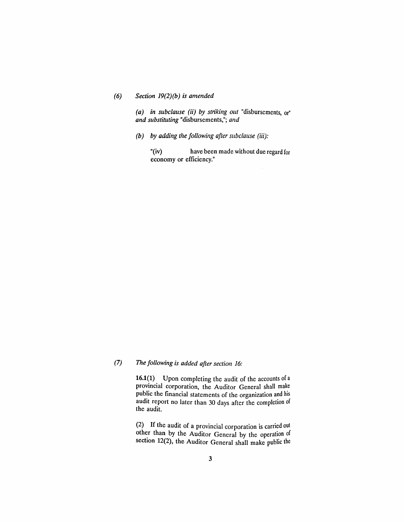## *(6) Section 19(2)(b) is amended*

*(a) in subclause (ii) by striking out* "disbursements, or" *and substituting* "disbursements,"; *and*

*(b) by adding the following after subclause* (iii):

"(iv) have been made without due regard for economy or efficiency."

# *(7) The following is added after section 16:*

16.1(1) Upon completing the audit of the accounts of a provincial corporation, the Auditor General shall make public the financial statements of the organization and his audit report no later than 30 days after the completion of the audit.

(2) If the audit of a provincial corporation is carried out other than by the Auditor General by the operation of section 12(2), the Auditor General shall make public the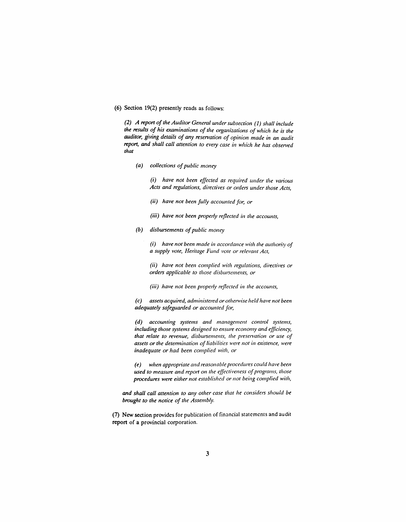## (6) Section 19(2) presently reads as follows:

*(2) A report ofthe Auditor General wlder subsection* (1) *shall include the results of his examinations of the organizations of which he is the auditor, giving details of any resetvation of opinion made in an audit report, and shall call attention to every case in which he has obsetved that*

*(a) collections ofpublic money*

*(i)* have not been effected as required under the various *Acts and regulations, directives or orders under those Acts,*

- *(ii) have not been fully accounted for, or*
- (iii) *have not been properly reflected in the accounts,*
- *(b)* disbursements of public money

*(i) have not been made in accordance with the authority of a supply vote, Helitage Fund vote or relevant Act,*

*(ii) have not been complied with regulations, directives or orders applicable to those disbursements, or*

*(iii) have not been properly reflected in the accounts,*

*(c) assets acquired, administered orothe/1l'ise held have not been adequately safeguarded or accounted for,*

*(d) accounting systems and management control systems, including those systems designed to ensure economy and efficiency, that relate to revenue, disbursemellts, the preselvation or use of assets orthe detennination of liabilities wen.' not in existence, were inadequate or had been complied with, or*

*(e) when applvpn·ate and reasonable procedures could have been used to measure and rep0l1 on the effectiveness ofprograms, those procedures were either not established or not being complied with,*

*and shall call attention to any other case that he considers should be brought to the notice of the Assembly.*

(7) New section provides for publication of financial statements and audit report of a provincial corporation.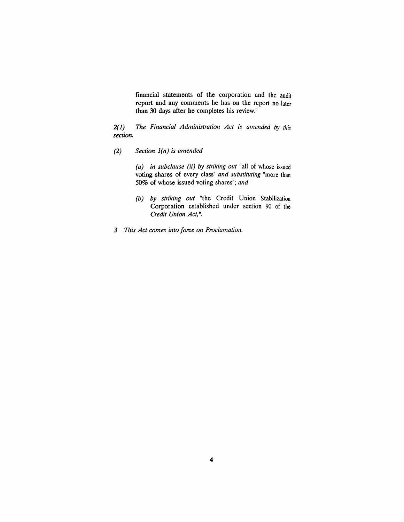financial statements of the corporation and the audit report and any comments he has on the report no later than 30 days after he completes his review."

*2(1) The Financial Administration Act is amended* by *this section.*

*(2) Section l(n) is amended*

*(a) in subclause (ii) by striking out* "all of whose issued voting shares of every class" *and substituting* "more than 50% of whose issued voting shares"; *and*

- *(b) by striking out* "the Credit Union Stabilization Corporation established under section 90 of the *Credit Union Act,* ".
- *3 This Act comes into force on Proclamation.*